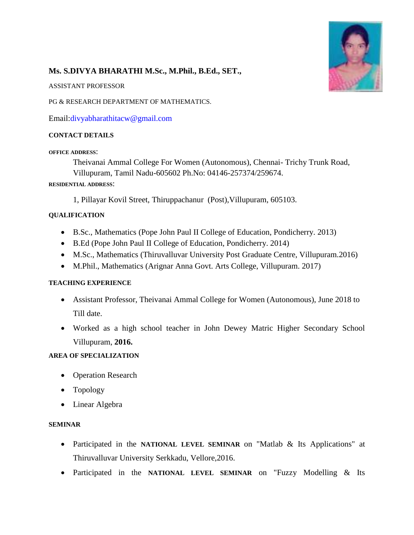

# **Ms. S.DIVYA BHARATHI M.Sc., M.Phil., B.Ed., SET.,**

ASSISTANT PROFESSOR

PG & RESEARCH DEPARTMENT OF MATHEMATICS.

Email[:divyabharathitacw@gmail.com](mailto:divyabharathitacw@gmail.com)

## **CONTACT DETAILS**

#### **OFFICE ADDRESS**:

Theivanai Ammal College For Women (Autonomous), Chennai- Trichy Trunk Road, Villupuram, Tamil Nadu-605602 Ph.No: 04146-257374/259674.

#### **RESIDENTIAL ADDRESS**:

1, Pillayar Kovil Street, Thiruppachanur (Post),Villupuram, 605103.

#### **QUALIFICATION**

- B.Sc., Mathematics (Pope John Paul II College of Education, Pondicherry. 2013)
- B.Ed (Pope John Paul II College of Education, Pondicherry. 2014)
- M.Sc., Mathematics (Thiruvalluvar University Post Graduate Centre, Villupuram.2016)
- M.Phil., Mathematics (Arignar Anna Govt. Arts College, Villupuram. 2017)

## **TEACHING EXPERIENCE**

- Assistant Professor, Theivanai Ammal College for Women (Autonomous), June 2018 to Till date.
- Worked as a high school teacher in John Dewey Matric Higher Secondary School Villupuram, **2016.**

## **AREA OF SPECIALIZATION**

- Operation Research
- Topology
- Linear Algebra

#### **SEMINAR**

- Participated in the **NATIONAL LEVEL SEMINAR** on "Matlab & Its Applications" at Thiruvalluvar University Serkkadu, Vellore,2016.
- Participated in the **NATIONAL LEVEL SEMINAR** on "Fuzzy Modelling & Its